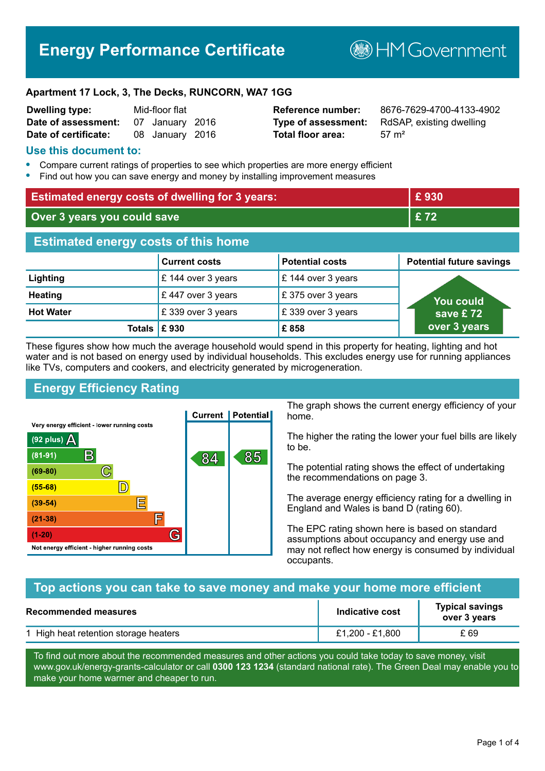## **Energy Performance Certificate**

**B**HM Government

#### **Apartment 17 Lock, 3, The Decks, RUNCORN, WA7 1GG**

| <b>Dwelling type:</b> | Mid-floor flat |                 |  |
|-----------------------|----------------|-----------------|--|
| Date of assessment:   |                | 07 January 2016 |  |
| Date of certificate:  |                | 08 January 2016 |  |

# **Total floor area:** 57 m<sup>2</sup>

**Reference number:** 8676-7629-4700-4133-4902 **Type of assessment:** RdSAP, existing dwelling

#### **Use this document to:**

- **•** Compare current ratings of properties to see which properties are more energy efficient
- **•** Find out how you can save energy and money by installing improvement measures

| <b>Estimated energy costs of dwelling for 3 years:</b> |                      | £930                   |                                 |
|--------------------------------------------------------|----------------------|------------------------|---------------------------------|
| Over 3 years you could save                            |                      | £72                    |                                 |
| <b>Estimated energy costs of this home</b>             |                      |                        |                                 |
|                                                        | <b>Current costs</b> | <b>Potential costs</b> | <b>Potential future savings</b> |
| Lighting                                               | £ 144 over 3 years   | £ 144 over 3 years     |                                 |
| <b>Heating</b>                                         | £447 over 3 years    | £375 over 3 years      | <b>You could</b>                |
| <b>Hot Water</b>                                       | £339 over 3 years    | £339 over 3 years      | save £72                        |
| Totals $\mathsf E$ 930                                 |                      | £858                   | over 3 years                    |

These figures show how much the average household would spend in this property for heating, lighting and hot water and is not based on energy used by individual households. This excludes energy use for running appliances like TVs, computers and cookers, and electricity generated by microgeneration.

#### **Energy Efficiency Rating**



The graph shows the current energy efficiency of your home.

The higher the rating the lower your fuel bills are likely to be.

The potential rating shows the effect of undertaking the recommendations on page 3.

The average energy efficiency rating for a dwelling in England and Wales is band D (rating 60).

The EPC rating shown here is based on standard assumptions about occupancy and energy use and may not reflect how energy is consumed by individual occupants.

#### **Top actions you can take to save money and make your home more efficient**

| <b>Recommended measures</b>           | Indicative cost | <b>Typical savings</b><br>over 3 years |
|---------------------------------------|-----------------|----------------------------------------|
| 1 High heat retention storage heaters | £1,200 - £1,800 | £ 69                                   |

To find out more about the recommended measures and other actions you could take today to save money, visit www.gov.uk/energy-grants-calculator or call **0300 123 1234** (standard national rate). The Green Deal may enable you to make your home warmer and cheaper to run.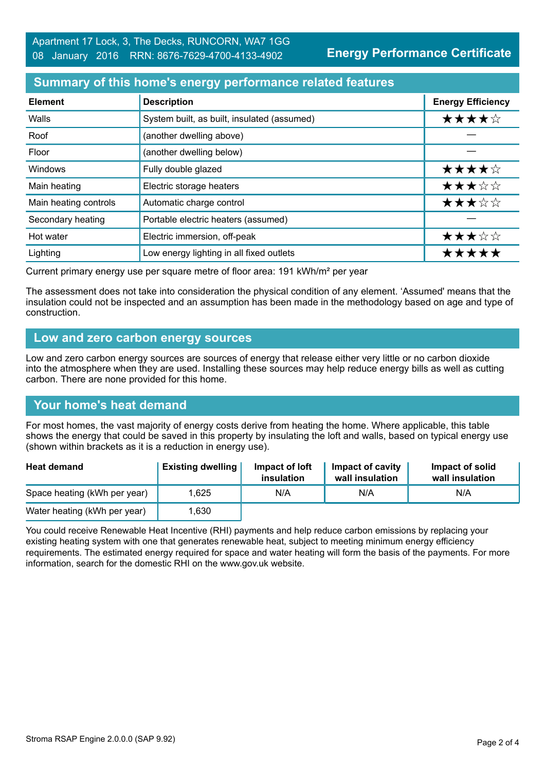#### **Summary of this home's energy performance related features**

| <b>Element</b>        | <b>Description</b>                          | <b>Energy Efficiency</b> |
|-----------------------|---------------------------------------------|--------------------------|
| Walls                 | System built, as built, insulated (assumed) | ★★★★☆                    |
| Roof                  | (another dwelling above)                    |                          |
| Floor                 | (another dwelling below)                    |                          |
| Windows               | Fully double glazed                         | ★★★★☆                    |
| Main heating          | Electric storage heaters                    | ★★★☆☆                    |
| Main heating controls | Automatic charge control                    | ★★★☆☆                    |
| Secondary heating     | Portable electric heaters (assumed)         |                          |
| Hot water             | Electric immersion, off-peak                | ★★★☆☆                    |
| Lighting              | Low energy lighting in all fixed outlets    | *****                    |

Current primary energy use per square metre of floor area: 191 kWh/m² per year

The assessment does not take into consideration the physical condition of any element. 'Assumed' means that the insulation could not be inspected and an assumption has been made in the methodology based on age and type of construction.

#### **Low and zero carbon energy sources**

Low and zero carbon energy sources are sources of energy that release either very little or no carbon dioxide into the atmosphere when they are used. Installing these sources may help reduce energy bills as well as cutting carbon. There are none provided for this home.

#### **Your home's heat demand**

For most homes, the vast majority of energy costs derive from heating the home. Where applicable, this table shows the energy that could be saved in this property by insulating the loft and walls, based on typical energy use (shown within brackets as it is a reduction in energy use).

| <b>Heat demand</b>           | <b>Existing dwelling</b> | Impact of loft<br>insulation | Impact of cavity<br>wall insulation | Impact of solid<br>wall insulation |
|------------------------------|--------------------------|------------------------------|-------------------------------------|------------------------------------|
| Space heating (kWh per year) | 1.625                    | N/A                          | N/A                                 | N/A                                |
| Water heating (kWh per year) | .630                     |                              |                                     |                                    |

You could receive Renewable Heat Incentive (RHI) payments and help reduce carbon emissions by replacing your existing heating system with one that generates renewable heat, subject to meeting minimum energy efficiency requirements. The estimated energy required for space and water heating will form the basis of the payments. For more information, search for the domestic RHI on the www.gov.uk website.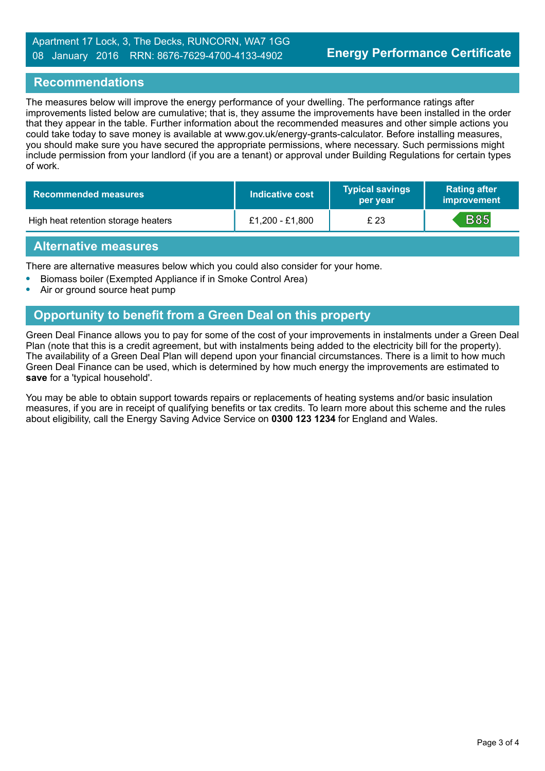#### **Recommendations**

The measures below will improve the energy performance of your dwelling. The performance ratings after improvements listed below are cumulative; that is, they assume the improvements have been installed in the order that they appear in the table. Further information about the recommended measures and other simple actions you could take today to save money is available at www.gov.uk/energy-grants-calculator. Before installing measures, you should make sure you have secured the appropriate permissions, where necessary. Such permissions might include permission from your landlord (if you are a tenant) or approval under Building Regulations for certain types of work.

| Recommended measures                | Indicative cost | <b>Typical savings</b><br>per year | <b>Rating after</b><br>improvement |
|-------------------------------------|-----------------|------------------------------------|------------------------------------|
| High heat retention storage heaters | £1,200 - £1,800 | £ 23                               | <b>B85</b>                         |

#### **Alternative measures**

There are alternative measures below which you could also consider for your home.

- **•** Biomass boiler (Exempted Appliance if in Smoke Control Area)
- **•** Air or ground source heat pump

### **Opportunity to benefit from a Green Deal on this property**

Green Deal Finance allows you to pay for some of the cost of your improvements in instalments under a Green Deal Plan (note that this is a credit agreement, but with instalments being added to the electricity bill for the property). The availability of a Green Deal Plan will depend upon your financial circumstances. There is a limit to how much Green Deal Finance can be used, which is determined by how much energy the improvements are estimated to **save** for a 'typical household'.

You may be able to obtain support towards repairs or replacements of heating systems and/or basic insulation measures, if you are in receipt of qualifying benefits or tax credits. To learn more about this scheme and the rules about eligibility, call the Energy Saving Advice Service on **0300 123 1234** for England and Wales.